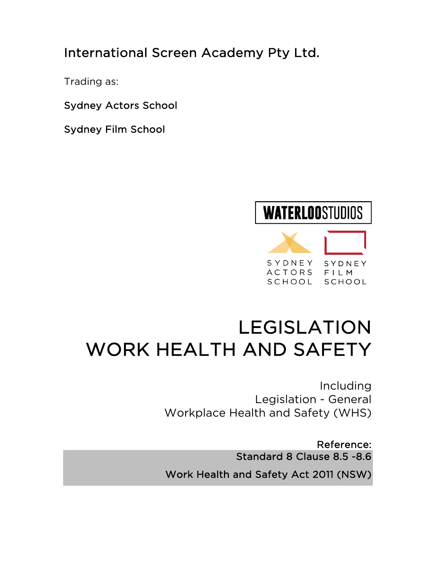International Screen Academy Pty Ltd.

Trading as:

Sydney Actors School

Sydney Film School

# **WATERLOOSTUDIOS**



# LEGISLATION WORK HEALTH AND SAFETY

Including Legislation - General Workplace Health and Safety (WHS)

Reference: Standard 8 Clause 8.5 -8.6 Work Health and Safety Act 2011 (NSW)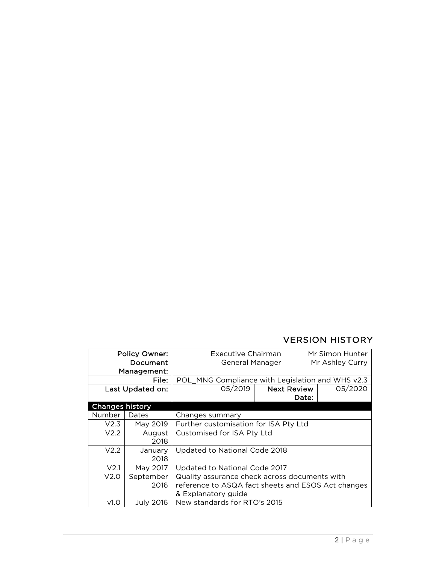# VERSION HISTORY

| <b>Policy Owner:</b>   |                  | <b>Executive Chairman</b>                          |  | Mr Simon Hunter    |         |
|------------------------|------------------|----------------------------------------------------|--|--------------------|---------|
| Document               |                  | General Manager                                    |  | Mr Ashley Curry    |         |
| Management:            |                  |                                                    |  |                    |         |
| File:                  |                  | POL_MNG Compliance with Legislation and WHS v2.3   |  |                    |         |
| Last Updated on:       |                  | 05/2019                                            |  | <b>Next Review</b> | 05/2020 |
|                        |                  |                                                    |  | Date:              |         |
| <b>Changes history</b> |                  |                                                    |  |                    |         |
| Number                 | Dates            | Changes summary                                    |  |                    |         |
| V2.3                   | May 2019         | Further customisation for ISA Pty Ltd              |  |                    |         |
| V2.2                   | August           | Customised for ISA Pty Ltd                         |  |                    |         |
|                        | 2018             |                                                    |  |                    |         |
| V <sub>2.2</sub>       | January          | Updated to National Code 2018                      |  |                    |         |
|                        | 2018             |                                                    |  |                    |         |
| V <sub>2.1</sub>       | May 2017         | Updated to National Code 2017                      |  |                    |         |
| V2.0                   | September        | Quality assurance check across documents with      |  |                    |         |
|                        | 2016             | reference to ASQA fact sheets and ESOS Act changes |  |                    |         |
|                        |                  | & Explanatory guide                                |  |                    |         |
| v1.0                   | <b>July 2016</b> | New standards for RTO's 2015                       |  |                    |         |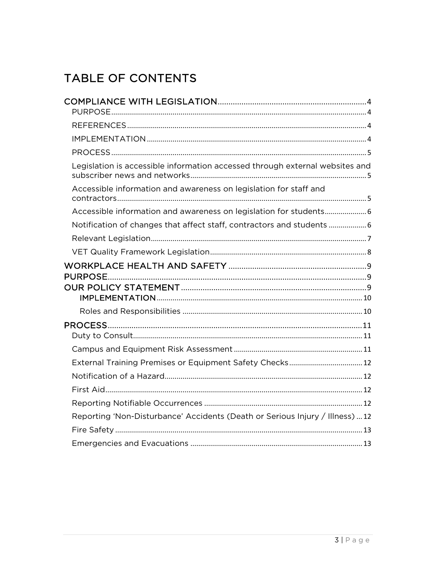# TABLE OF CONTENTS

| Legislation is accessible information accessed through external websites and  |  |
|-------------------------------------------------------------------------------|--|
| Accessible information and awareness on legislation for staff and             |  |
| Accessible information and awareness on legislation for students 6            |  |
| Notification of changes that affect staff, contractors and students  6        |  |
|                                                                               |  |
|                                                                               |  |
|                                                                               |  |
|                                                                               |  |
|                                                                               |  |
|                                                                               |  |
| External Training Premises or Equipment Safety Checks 12                      |  |
|                                                                               |  |
|                                                                               |  |
|                                                                               |  |
| Reporting 'Non-Disturbance' Accidents (Death or Serious Injury / Illness)  12 |  |
|                                                                               |  |
|                                                                               |  |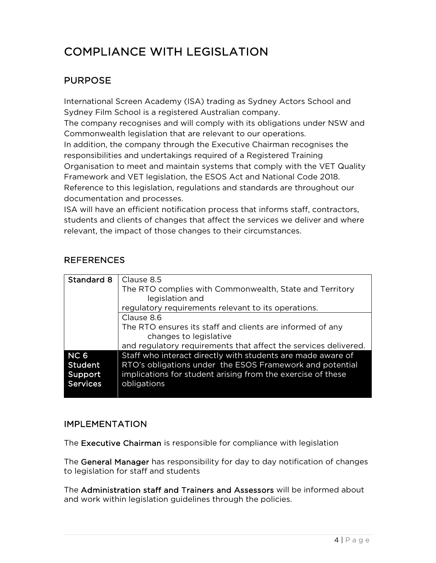# COMPLIANCE WITH LEGISLATION

# PURPOSE

International Screen Academy (ISA) trading as Sydney Actors School and Sydney Film School is a registered Australian company.

The company recognises and will comply with its obligations under NSW and Commonwealth legislation that are relevant to our operations.

In addition, the company through the Executive Chairman recognises the responsibilities and undertakings required of a Registered Training Organisation to meet and maintain systems that comply with the VET Quality Framework and VET legislation, the ESOS Act and National Code 2018. Reference to this legislation, regulations and standards are throughout our documentation and processes.

ISA will have an efficient notification process that informs staff, contractors, students and clients of changes that affect the services we deliver and where relevant, the impact of those changes to their circumstances.

# **REFERENCES**

| Standard 8      | Clause 8.5                                                      |  |
|-----------------|-----------------------------------------------------------------|--|
|                 | The RTO complies with Commonwealth, State and Territory         |  |
|                 | legislation and                                                 |  |
|                 | regulatory requirements relevant to its operations.             |  |
|                 | Clause 8.6                                                      |  |
|                 | The RTO ensures its staff and clients are informed of any       |  |
|                 | changes to legislative                                          |  |
|                 | and regulatory requirements that affect the services delivered. |  |
| NC <sub>6</sub> | Staff who interact directly with students are made aware of     |  |
| Student         | RTO's obligations under the ESOS Framework and potential        |  |
| Support         | implications for student arising from the exercise of these     |  |
| <b>Services</b> | obligations                                                     |  |

# IMPLEMENTATION

The Executive Chairman is responsible for compliance with legislation

The General Manager has responsibility for day to day notification of changes to legislation for staff and students

The Administration staff and Trainers and Assessors will be informed about and work within legislation guidelines through the policies.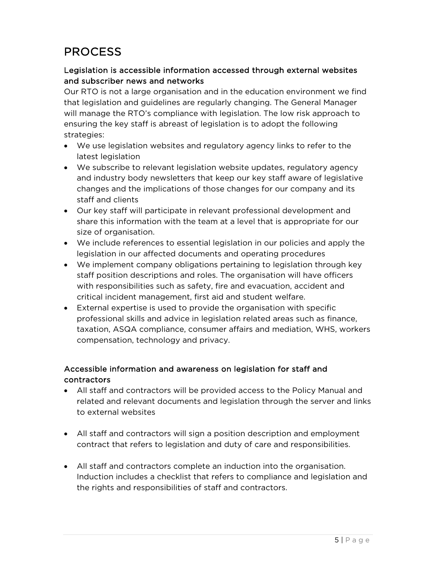# PROCESS

# Legislation is accessible information accessed through external websites and subscriber news and networks

Our RTO is not a large organisation and in the education environment we find that legislation and guidelines are regularly changing. The General Manager will manage the RTO's compliance with legislation. The low risk approach to ensuring the key staff is abreast of legislation is to adopt the following strategies:

- We use legislation websites and regulatory agency links to refer to the latest legislation
- We subscribe to relevant legislation website updates, regulatory agency and industry body newsletters that keep our key staff aware of legislative changes and the implications of those changes for our company and its staff and clients
- Our key staff will participate in relevant professional development and share this information with the team at a level that is appropriate for our size of organisation.
- We include references to essential legislation in our policies and apply the legislation in our affected documents and operating procedures
- We implement company obligations pertaining to legislation through key staff position descriptions and roles. The organisation will have officers with responsibilities such as safety, fire and evacuation, accident and critical incident management, first aid and student welfare.
- External expertise is used to provide the organisation with specific professional skills and advice in legislation related areas such as finance, taxation, ASQA compliance, consumer affairs and mediation, WHS, workers compensation, technology and privacy.

# Accessible information and awareness on legislation for staff and contractors

- All staff and contractors will be provided access to the Policy Manual and related and relevant documents and legislation through the server and links to external websites
- All staff and contractors will sign a position description and employment contract that refers to legislation and duty of care and responsibilities.
- All staff and contractors complete an induction into the organisation. Induction includes a checklist that refers to compliance and legislation and the rights and responsibilities of staff and contractors.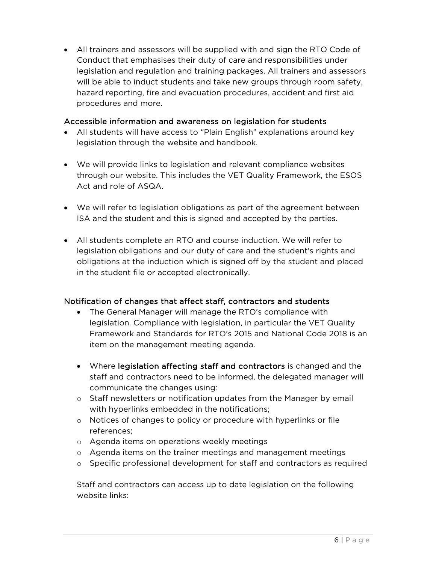• All trainers and assessors will be supplied with and sign the RTO Code of Conduct that emphasises their duty of care and responsibilities under legislation and regulation and training packages. All trainers and assessors will be able to induct students and take new groups through room safety, hazard reporting, fire and evacuation procedures, accident and first aid procedures and more.

#### Accessible information and awareness on legislation for students

- All students will have access to "Plain English" explanations around key legislation through the website and handbook.
- We will provide links to legislation and relevant compliance websites through our website. This includes the VET Quality Framework, the ESOS Act and role of ASQA.
- We will refer to legislation obligations as part of the agreement between ISA and the student and this is signed and accepted by the parties.
- All students complete an RTO and course induction. We will refer to legislation obligations and our duty of care and the student's rights and obligations at the induction which is signed off by the student and placed in the student file or accepted electronically.

#### Notification of changes that affect staff, contractors and students

- The General Manager will manage the RTO's compliance with legislation. Compliance with legislation, in particular the VET Quality Framework and Standards for RTO's 2015 and National Code 2018 is an item on the management meeting agenda.
- Where legislation affecting staff and contractors is changed and the staff and contractors need to be informed, the delegated manager will communicate the changes using:
- o Staff newsletters or notification updates from the Manager by email with hyperlinks embedded in the notifications;
- o Notices of changes to policy or procedure with hyperlinks or file references;
- o Agenda items on operations weekly meetings
- o Agenda items on the trainer meetings and management meetings
- o Specific professional development for staff and contractors as required

Staff and contractors can access up to date legislation on the following website links: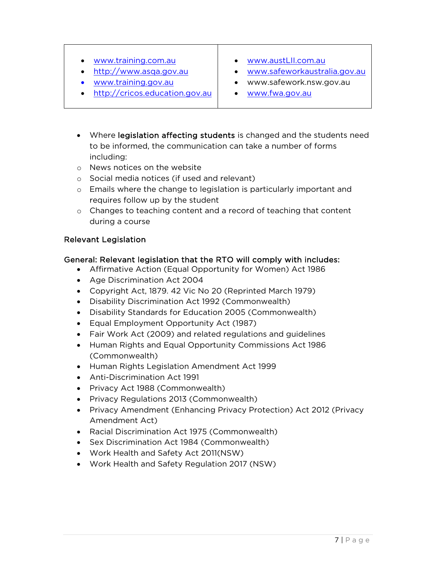- www.training.com.au
- http://www.asqa.gov.au
- www.training.gov.au
- http://cricos.education.gov.au
- www.austLII.com.au
- www.safeworkaustralia.gov.au
- www.safework.nsw.gov.au
- www.fwa.gov.au
- Where legislation affecting students is changed and the students need to be informed, the communication can take a number of forms including:
- o News notices on the website
- o Social media notices (if used and relevant)
- $\circ$  Emails where the change to legislation is particularly important and requires follow up by the student
- o Changes to teaching content and a record of teaching that content during a course

#### Relevant Legislation

#### General: Relevant legislation that the RTO will comply with includes:

- Affirmative Action (Equal Opportunity for Women) Act 1986
- Age Discrimination Act 2004
- Copyright Act, 1879. 42 Vic No 20 (Reprinted March 1979)
- Disability Discrimination Act 1992 (Commonwealth)
- Disability Standards for Education 2005 (Commonwealth)
- Equal Employment Opportunity Act (1987)
- Fair Work Act (2009) and related regulations and guidelines
- Human Rights and Equal Opportunity Commissions Act 1986 (Commonwealth)
- Human Rights Legislation Amendment Act 1999
- Anti-Discrimination Act 1991
- Privacy Act 1988 (Commonwealth)
- Privacy Regulations 2013 (Commonwealth)
- Privacy Amendment (Enhancing Privacy Protection) Act 2012 (Privacy Amendment Act)
- Racial Discrimination Act 1975 (Commonwealth)
- Sex Discrimination Act 1984 (Commonwealth)
- Work Health and Safety Act 2011(NSW)
- Work Health and Safety Regulation 2017 (NSW)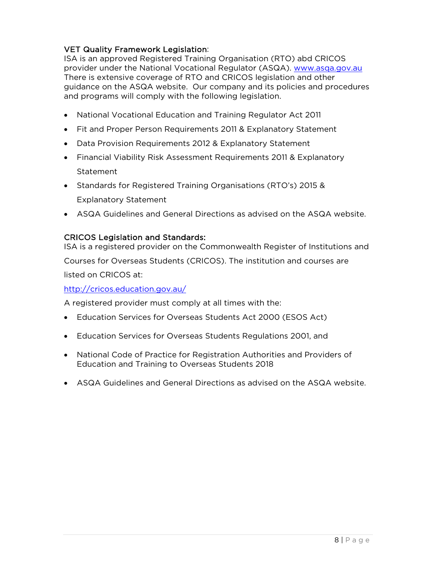#### VET Quality Framework Legislation:

ISA is an approved Registered Training Organisation (RTO) abd CRICOS provider under the National Vocational Regulator (ASQA). www.asqa.gov.au There is extensive coverage of RTO and CRICOS legislation and other guidance on the ASQA website. Our company and its policies and procedures and programs will comply with the following legislation.

- National Vocational Education and Training Regulator Act 2011
- Fit and Proper Person Requirements 2011 & Explanatory Statement
- Data Provision Requirements 2012 & Explanatory Statement
- Financial Viability Risk Assessment Requirements 2011 & Explanatory Statement
- Standards for Registered Training Organisations (RTO's) 2015 & Explanatory Statement
- ASQA Guidelines and General Directions as advised on the ASQA website.

#### CRICOS Legislation and Standards:

ISA is a registered provider on the Commonwealth Register of Institutions and Courses for Overseas Students (CRICOS). The institution and courses are listed on CRICOS at: http://cricos.education.gov.au/

A registered provider must comply at all times with the:

- Education Services for Overseas Students Act 2000 (ESOS Act)
- Education Services for Overseas Students Regulations 2001, and
- National Code of Practice for Registration Authorities and Providers of Education and Training to Overseas Students 2018
- ASQA Guidelines and General Directions as advised on the ASQA website.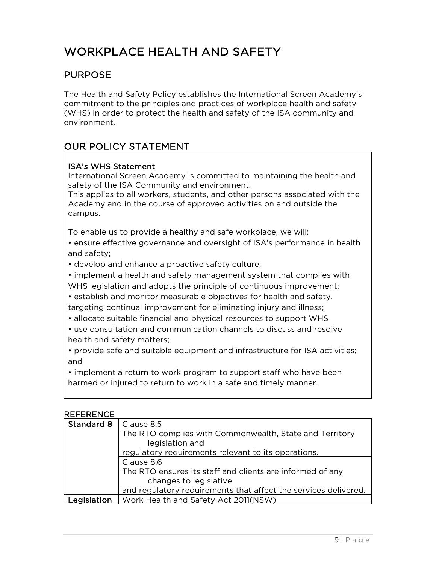# WORKPLACE HEALTH AND SAFFTY

# PURPOSE

The Health and Safety Policy establishes the International Screen Academy's commitment to the principles and practices of workplace health and safety (WHS) in order to protect the health and safety of the ISA community and environment.

# OUR POLICY STATEMENT

#### ISA's WHS Statement

International Screen Academy is committed to maintaining the health and safety of the ISA Community and environment.

This applies to all workers, students, and other persons associated with the Academy and in the course of approved activities on and outside the campus.

To enable us to provide a healthy and safe workplace, we will:

• ensure effective governance and oversight of ISA's performance in health and safety;

• develop and enhance a proactive safety culture;

• implement a health and safety management system that complies with WHS legislation and adopts the principle of continuous improvement;

• establish and monitor measurable objectives for health and safety, targeting continual improvement for eliminating injury and illness;

• allocate suitable financial and physical resources to support WHS

• use consultation and communication channels to discuss and resolve health and safety matters;

• provide safe and suitable equipment and infrastructure for ISA activities; and

• implement a return to work program to support staff who have been harmed or injured to return to work in a safe and timely manner.

#### REFERENCE

| Standard 8   Clause 8.5 |                                                                 |  |
|-------------------------|-----------------------------------------------------------------|--|
|                         | The RTO complies with Commonwealth, State and Territory         |  |
|                         | legislation and                                                 |  |
|                         | regulatory requirements relevant to its operations.             |  |
|                         | Clause 8.6                                                      |  |
|                         | The RTO ensures its staff and clients are informed of any       |  |
|                         | changes to legislative                                          |  |
|                         | and regulatory requirements that affect the services delivered. |  |
| Legislation             | Work Health and Safety Act 2011(NSW)                            |  |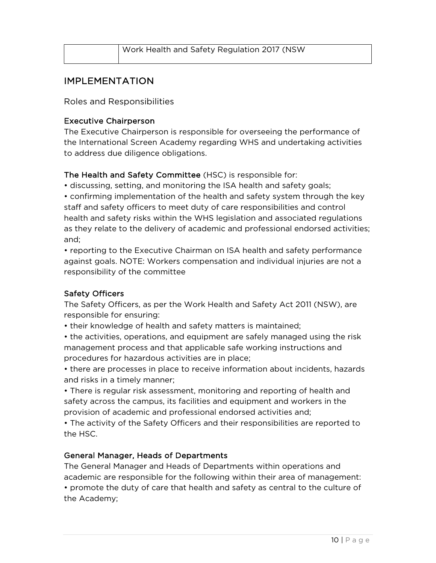| Work Health and Safety Regulation 2017 (NSW |
|---------------------------------------------|
|                                             |

# IMPLEMENTATION

Roles and Responsibilities

#### Executive Chairperson

The Executive Chairperson is responsible for overseeing the performance of the International Screen Academy regarding WHS and undertaking activities to address due diligence obligations.

# The Health and Safety Committee (HSC) is responsible for:

• discussing, setting, and monitoring the ISA health and safety goals;

• confirming implementation of the health and safety system through the key staff and safety officers to meet duty of care responsibilities and control health and safety risks within the WHS legislation and associated regulations as they relate to the delivery of academic and professional endorsed activities; and;

• reporting to the Executive Chairman on ISA health and safety performance against goals. NOTE: Workers compensation and individual injuries are not a responsibility of the committee

# Safety Officers

The Safety Officers, as per the Work Health and Safety Act 2011 (NSW), are responsible for ensuring:

• their knowledge of health and safety matters is maintained;

• the activities, operations, and equipment are safely managed using the risk management process and that applicable safe working instructions and procedures for hazardous activities are in place;

• there are processes in place to receive information about incidents, hazards and risks in a timely manner;

• There is regular risk assessment, monitoring and reporting of health and safety across the campus, its facilities and equipment and workers in the provision of academic and professional endorsed activities and;

• The activity of the Safety Officers and their responsibilities are reported to the HSC.

# General Manager, Heads of Departments

The General Manager and Heads of Departments within operations and academic are responsible for the following within their area of management: • promote the duty of care that health and safety as central to the culture of the Academy;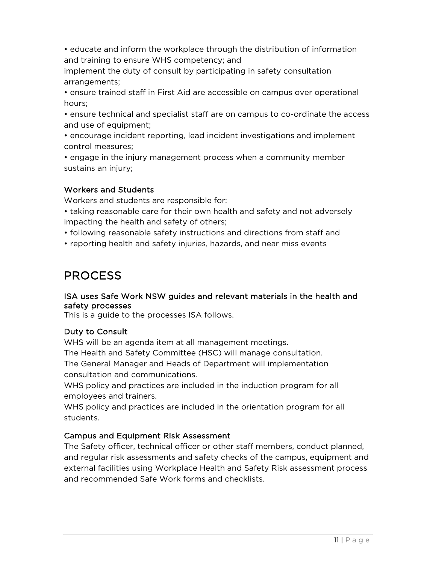• educate and inform the workplace through the distribution of information and training to ensure WHS competency; and

implement the duty of consult by participating in safety consultation arrangements;

• ensure trained staff in First Aid are accessible on campus over operational hours;

• ensure technical and specialist staff are on campus to co-ordinate the access and use of equipment;

• encourage incident reporting, lead incident investigations and implement control measures;

• engage in the injury management process when a community member sustains an injury;

# Workers and Students

Workers and students are responsible for:

• taking reasonable care for their own health and safety and not adversely impacting the health and safety of others;

• following reasonable safety instructions and directions from staff and

• reporting health and safety injuries, hazards, and near miss events

# PROCESS

#### ISA uses Safe Work NSW guides and relevant materials in the health and safety processes

This is a guide to the processes ISA follows.

#### Duty to Consult

WHS will be an agenda item at all management meetings.

The Health and Safety Committee (HSC) will manage consultation.

The General Manager and Heads of Department will implementation consultation and communications.

WHS policy and practices are included in the induction program for all employees and trainers.

WHS policy and practices are included in the orientation program for all students.

# Campus and Equipment Risk Assessment

The Safety officer, technical officer or other staff members, conduct planned, and regular risk assessments and safety checks of the campus, equipment and external facilities using Workplace Health and Safety Risk assessment process and recommended Safe Work forms and checklists.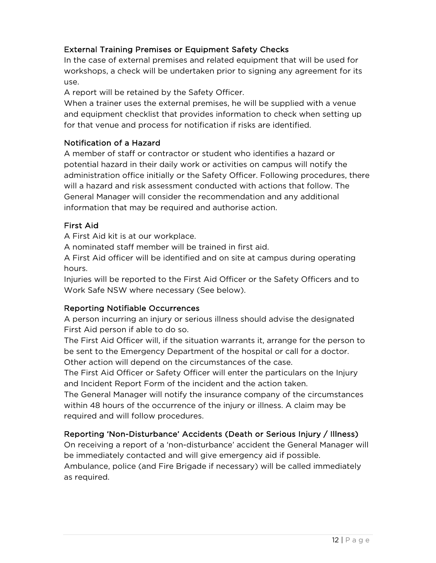# External Training Premises or Equipment Safety Checks

In the case of external premises and related equipment that will be used for workshops, a check will be undertaken prior to signing any agreement for its use.

A report will be retained by the Safety Officer.

When a trainer uses the external premises, he will be supplied with a venue and equipment checklist that provides information to check when setting up for that venue and process for notification if risks are identified.

#### Notification of a Hazard

A member of staff or contractor or student who identifies a hazard or potential hazard in their daily work or activities on campus will notify the administration office initially or the Safety Officer. Following procedures, there will a hazard and risk assessment conducted with actions that follow. The General Manager will consider the recommendation and any additional information that may be required and authorise action.

#### First Aid

A First Aid kit is at our workplace.

A nominated staff member will be trained in first aid.

A First Aid officer will be identified and on site at campus during operating hours.

Injuries will be reported to the First Aid Officer or the Safety Officers and to Work Safe NSW where necessary (See below).

# Reporting Notifiable Occurrences

A person incurring an injury or serious illness should advise the designated First Aid person if able to do so.

The First Aid Officer will, if the situation warrants it, arrange for the person to be sent to the Emergency Department of the hospital or call for a doctor. Other action will depend on the circumstances of the case.

The First Aid Officer or Safety Officer will enter the particulars on the Injury and Incident Report Form of the incident and the action taken.

The General Manager will notify the insurance company of the circumstances within 48 hours of the occurrence of the injury or illness. A claim may be required and will follow procedures.

# Reporting 'Non-Disturbance' Accidents (Death or Serious Injury / Illness)

On receiving a report of a 'non-disturbance' accident the General Manager will be immediately contacted and will give emergency aid if possible. Ambulance, police (and Fire Brigade if necessary) will be called immediately as required.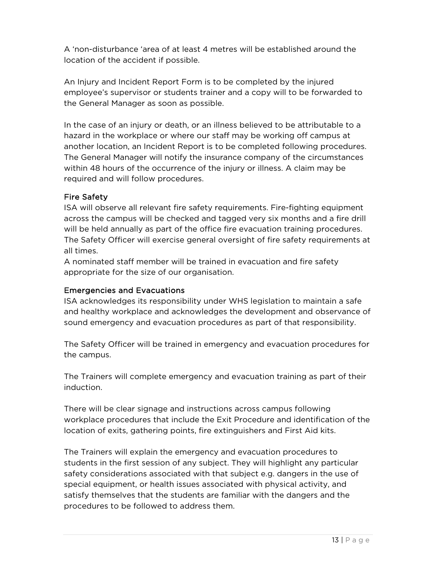A 'non-disturbance 'area of at least 4 metres will be established around the location of the accident if possible.

An Injury and Incident Report Form is to be completed by the injured employee's supervisor or students trainer and a copy will to be forwarded to the General Manager as soon as possible.

In the case of an injury or death, or an illness believed to be attributable to a hazard in the workplace or where our staff may be working off campus at another location, an Incident Report is to be completed following procedures. The General Manager will notify the insurance company of the circumstances within 48 hours of the occurrence of the injury or illness. A claim may be required and will follow procedures.

# Fire Safety

ISA will observe all relevant fire safety requirements. Fire-fighting equipment across the campus will be checked and tagged very six months and a fire drill will be held annually as part of the office fire evacuation training procedures. The Safety Officer will exercise general oversight of fire safety requirements at all times.

A nominated staff member will be trained in evacuation and fire safety appropriate for the size of our organisation.

#### Emergencies and Evacuations

ISA acknowledges its responsibility under WHS legislation to maintain a safe and healthy workplace and acknowledges the development and observance of sound emergency and evacuation procedures as part of that responsibility.

The Safety Officer will be trained in emergency and evacuation procedures for the campus.

The Trainers will complete emergency and evacuation training as part of their induction.

There will be clear signage and instructions across campus following workplace procedures that include the Exit Procedure and identification of the location of exits, gathering points, fire extinguishers and First Aid kits.

The Trainers will explain the emergency and evacuation procedures to students in the first session of any subject. They will highlight any particular safety considerations associated with that subject e.g. dangers in the use of special equipment, or health issues associated with physical activity, and satisfy themselves that the students are familiar with the dangers and the procedures to be followed to address them.